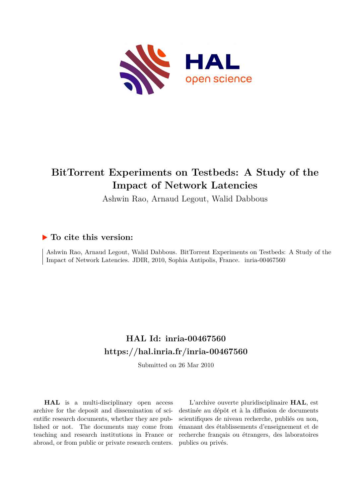

## **BitTorrent Experiments on Testbeds: A Study of the Impact of Network Latencies**

Ashwin Rao, Arnaud Legout, Walid Dabbous

### **To cite this version:**

Ashwin Rao, Arnaud Legout, Walid Dabbous. BitTorrent Experiments on Testbeds: A Study of the Impact of Network Latencies. JDIR, 2010, Sophia Antipolis, France. inria-00467560

## **HAL Id: inria-00467560 <https://hal.inria.fr/inria-00467560>**

Submitted on 26 Mar 2010

**HAL** is a multi-disciplinary open access archive for the deposit and dissemination of scientific research documents, whether they are published or not. The documents may come from teaching and research institutions in France or abroad, or from public or private research centers.

L'archive ouverte pluridisciplinaire **HAL**, est destinée au dépôt et à la diffusion de documents scientifiques de niveau recherche, publiés ou non, émanant des établissements d'enseignement et de recherche français ou étrangers, des laboratoires publics ou privés.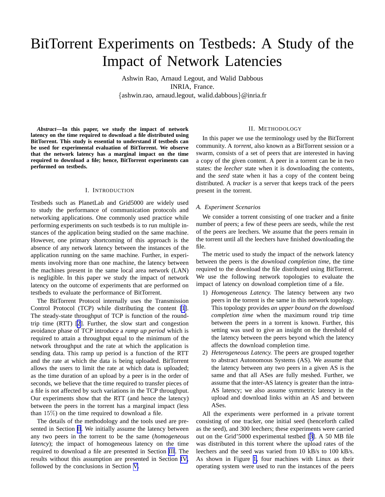# BitTorrent Experiments on Testbeds: A Study of the Impact of Network Latencies

Ashwin Rao, Arnaud Legout, and Walid Dabbous INRIA, France. {ashwin.rao, arnaud.legout, walid.dabbous}@inria.fr

*Abstract***—In this paper, we study the impact of network latency on the time required to download a file distributed using BitTorrent. This study is essential to understand if testbeds can be used for experimental evaluation of BitTorrent. We observe that the network latency has a marginal impact on the time required to download a file; hence, BitTorrent experiments can performed on testbeds.**

#### I. INTRODUCTION

Testbeds such as PlanetLab and Grid5000 are widely used to study the performance of communication protocols and networking applications. One commonly used practice while performing experiments on such testbeds is to run multiple instances of the application being studied on the same machine. However, one primary shortcoming of this approach is the absence of any network latency between the instances of the application running on the same machine. Further, in experiments involving more than one machine, the latency between the machines present in the same local area network (LAN) is negligible. In this paper we study the impact of network latency on the outcome of experiments that are performed on testbeds to evaluate the performance of BitTorrent.

The BitTorrent Protocol internally uses the Transmission Control Protocol (TCP) while distributing the content [\[1](#page-5-0)]. The steady-state throughput of TCP is function of the roundtrip time (RTT) [\[2](#page-5-0)]. Further, the slow start and congestion avoidance phase of TCP introduce a *ramp up period* which is required to attain a throughput equal to the minimum of the network throughput and the rate at which the application is sending data. This ramp up period is a function of the RTT and the rate at which the data is being uploaded. BitTorrent allows the users to limit the rate at which data is uploaded; as the time duration of an upload by a peer is in the order of seconds, we believe that the time required to transfer pieces of a file is not affected by such variations in the TCP throughput. Our experiments show that the RTT (and hence the latency) between the peers in the torrent has a marginal impact (less than 15%) on the time required to download a file.

The details of the methodology and the tools used are presented in Section II. We initially assume the latency between any two peers in the torrent to be the same (*homogeneous latency*); the impact of homogeneous latency on the time required to download a file are presented in Section [III](#page-3-0). The results without this assumption are presented in Section [IV,](#page-4-0) followed by the conclusions in Section [V](#page-5-0).

#### II. METHODOLOGY

In this paper we use the terminology used by the BitTorrent community. A *torrent*, also known as a BitTorrent session or a swarm, consists of a set of peers that are interested in having a copy of the given content. A peer in a torrent can be in two states: the *leecher* state when it is downloading the contents, and the *seed* state when it has a copy of the content being distributed. A *tracker* is a server that keeps track of the peers present in the torrent.

#### *A. Experiment Scenarios*

We consider a torrent consisting of one tracker and a finite number of peers; a few of these peers are seeds, while the rest of the peers are leechers. We assume that the peers remain in the torrent until all the leechers have finished downloading the file.

The metric used to study the impact of the network latency between the peers is the *download completion time*, the time required to the download the file distributed using BitTorrent. We use the following network topologies to evaluate the impact of latency on download completion time of a file.

- 1) *Homogeneous Latency.* The latency between any two peers in the torrent is the same in this network topology. This topology provides *an upper bound on the download completion time* when the maximum round trip time between the peers in a torrent is known. Further, this setting was used to give an insight on the threshold of the latency between the peers beyond which the latency affects the download completion time.
- 2) *Heterogeneous Latency.* The peers are grouped together to abstract Autonomous Systems (AS). We assume that the latency between any two peers in a given AS is the same and that all ASes are fully meshed. Further, we assume that the inter-AS latency is greater than the intra-AS latency; we also assume symmetric latency in the upload and download links within an AS and between ASes.

All the experiments were performed in a private torrent consisting of one tracker, one initial seed (henceforth called as the seed), and 300 leechers; these experiments were carried out on the Grid'5000 experimental testbed [[3\]](#page-5-0). A 50 MB file was distributed in this torrent where the upload rates of the leechers and the seed was varied from 10 kB/s to 100 kB/s. As shown in Figure [1,](#page-2-0) four machines with Linux as their operating system were used to run the instances of the peers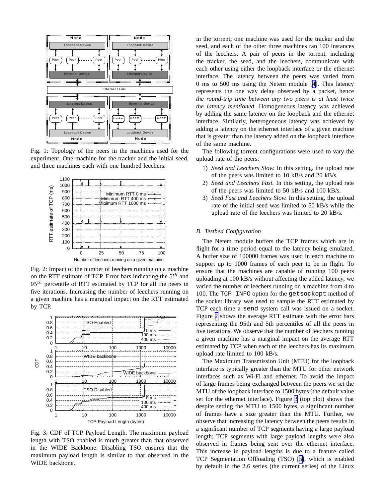<span id="page-2-0"></span>

Fig. 1: Topology of the peers in the machines used for the experiment. One machine for the tracker and the initial seed, and three machines each with one hundred leechers.



Fig. 2: Impact of the number of leechers running on a machine on the RTT estimate of TCP. Error bars indicating the  $5<sup>th</sup>$  and  $95<sup>th</sup>$  percentile of RTT estimated by TCP for all the peers in five iterations. Increasing the number of leechers running on a given machine has a marginal impact on the RTT estimated by TCP.



Fig. 3: CDF of TCP Payload Length. The maximum payload length with TSO enabled is much greater than that observed in the WIDE Backbone. Disabling TSO ensures that the maximum payload length is similar to that observed in the WIDE backbone.

in the torrent; one machine was used for the tracker and the seed, and each of the other three machines ran 100 instances of the leechers. A pair of peers in the torrent, including the tracker, the seed, and the leechers, communicate with each other using either the loopback interface or the ethernet interface. The latency between the peers was varied from 0 ms to 500 ms using the Netem module [[4\]](#page-5-0). This latency represents the one way delay observed by a packet, hence *the round-trip time between any two peers is at least twice the latency mentioned*. Homogeneous latency was achieved by adding the same latency on the loopback and the ethernet interface. Similarly, heterogeneous latency was achieved by adding a latency on the ethernet interface of a given machine that is greater than the latency added on the loopback interface of the same machine.

The following torrent configurations were used to vary the upload rate of the peers:

- 1) *Seed and Leechers Slow.* In this setting, the upload rate of the peers was limited to 10 kB/s and 20 kB/s.
- 2) *Seed and Leechers Fast.* In this setting, the upload rate of the peers was limited to 50 kB/s and 100 kB/s.
- 3) *Seed Fast and Leechers Slow.* In this setting, the upload rate of the initial seed was limited to 50 kB/s while the upload rate of the leechers was limited to 20 kB/s.

#### *B. Testbed Configuration*

The Netem module buffers the TCP frames which are in flight for a time period equal to the latency being emulated. A buffer size of 100000 frames was used in each machine to support up to 1000 frames of each peer to be in flight. To ensure that the machines are capable of running 100 peers uploading at 100 kB/s without affecting the added latency, we varied the number of leechers running on a machine from 4 to 100. The TCP\_INFO option for the getsockopt method of the socket library was used to sample the RTT estimated by TCP each time a send system call was issued on a socket. Figure 2 shows the average RTT estimate with the error bars representing the 95th and 5th percentiles of all the peers in five iterations. We observe that the number of leechers running a given machine has a marginal impact on the average RTT estimated by TCP when each of the leechers has its maximum upload rate limited to 100 kB/s.

The Maximum Transmission Unit (MTU) for the loopback interface is typically greater than the MTU for other network interfaces such as Wi-Fi and ethernet. To avoid the impact of large frames being exchanged between the peers we set the MTU of the loopback interface to 1500 bytes (the default value set for the ethernet interface). Figure 3 (top plot) shows that despite setting the MTU to 1500 bytes, a significant number of frames have a size greater than the MTU. Further, we observe that increasing the latency between the peers results in a significant number of TCP segments having a large payload length; TCP segments with large payload lengths were also observed in frames being sent over the ethernet interface. This increase in payload lengths is due to a feature called TCP Segmentation Offloading (TSO) [[5\]](#page-5-0), which is enabled by default in the 2.6 series (the current series) of the Linux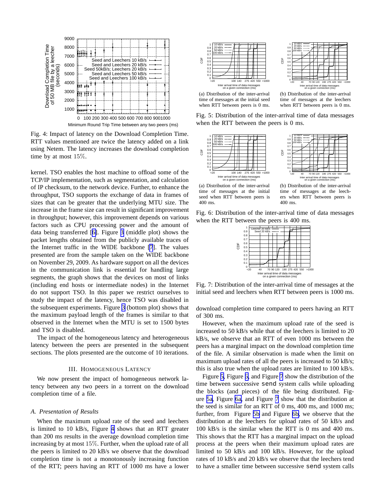<span id="page-3-0"></span>

Fig. 4: Impact of latency on the Download Completion Time. RTT values mentioned are twice the latency added on a link using Netem. The latency increases the download completion time by at most 15%.

kernel. TSO enables the host machine to offload some of the TCP/IP implementation, such as segmentation, and calculation of IP checksum, to the network device. Further, to enhance the throughput, TSO supports the exchange of data in frames of sizes that can be greater that the underlying MTU size. The increase in the frame size can result in significant improvement in throughput; however, this improvement depends on various factors such as CPU processing power and the amount of data being transferred [[6\]](#page-5-0). Figure [3](#page-2-0) (middle plot) shows the packet lengths obtained from the publicly available traces of the Internet traffic in the WIDE backbone [\[7](#page-5-0)]. The values presented are from the sample taken on the WIDE backbone on November 29, 2009. As hardware support on all the devices in the communication link is essential for handling large segments, the graph shows that the devices on most of links (including end hosts or intermediate nodes) in the Internet do not support TSO. In this paper we restrict ourselves to study the impact of the latency, hence TSO was disabled in the subsequent experiments. Figure [3](#page-2-0) (bottom plot) shows that the maximum payload length of the frames is similar to that observed in the Internet when the MTU is set to 1500 bytes and TSO is disabled.

The impact of the homogeneous latency and heterogeneous latency between the peers are presented in the subsequent sections. The plots presented are the outcome of 10 iterations.

#### III. HOMOGENEOUS LATENCY

We now present the impact of homogeneous network latency between any two peers in a torrent on the download completion time of a file.

#### *A. Presentation of Results*

When the maximum upload rate of the seed and leechers is limited to 10 kB/s, Figure 4 shows that an RTT greater than 200 ms results in the average download completion time increasing by at most 15%. Further, when the upload rate of all the peers is limited to 20 kB/s we observe that the download completion time is not a monotonously increasing function of the RTT; peers having an RTT of 1000 ms have a lower





(a) Distribution of the inter-arrival time of messages at the initial seed when RTT between peers is 0 ms.

(b) Distribution of the inter-arrival time of messages at the leechers when RTT between peers is 0 ms.

Fig. 5: Distribution of the inter-arrival time of data messages when the RTT between the peers is 0 ms.





(a) Distribution of the inter-arrival time of messages at the initial seed when RTT between peers is 400 ms.

CDF

(b) Distribution of the inter-arrival time of messages at the leechers when RTT between peers is 400 ms.

Fig. 6: Distribution of the inter-arrival time of data messages when the RTT between the peers is 400 ms.



Fig. 7: Distribution of the inter-arrival time of messages at the initial seed and leechers when RTT between peers is 1000 ms.

download completion time compared to peers having an RTT of 300 ms.

However, when the maximum upload rate of the seed is increased to 50 kB/s while that of the leechers is limited to 20 kB/s, we observe that an RTT of even 1000 ms between the peers has a marginal impact on the download completion time of the file. A similar observation is made when the limit on maximum upload rates of all the peers is increased to 50 kB/s; this is also true when the upload rates are limited to 100 kB/s.

Figure 5, Figure 6, and Figure 7 show the distribution of the time between successive send system calls while uploading the blocks (and pieces) of the file being distributed. Figure 5a, Figure 6a, and Figure 7 show that the distribution at the seed is similar for an RTT of 0 ms, 400 ms, and 1000 ms; further, from Figure 5b and Figure 6b, we observe that the distribution at the leechers for upload rates of 50 kB/s and 100 kB/s is the similar when the RTT is 0 ms and 400 ms. This shows that the RTT has a marginal impact on the upload process at the peers when their maximum upload rates are limited to 50 kB/s and 100 kB/s. However, for the upload rates of 10 kB/s and 20 kB/s we observe that the leechers tend to have a smaller time between successive send system calls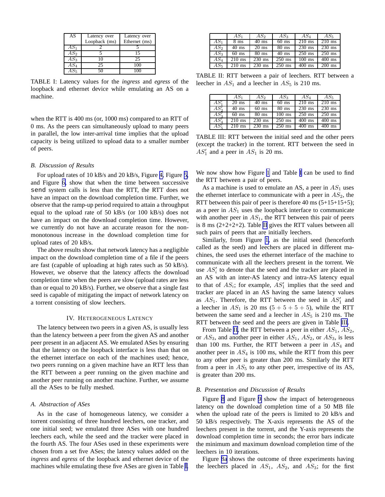<span id="page-4-0"></span>

| AS     | Latency over  | Latency over  |
|--------|---------------|---------------|
|        | Loopback (ms) | Ethernet (ms) |
| $AS_1$ |               |               |
| $AS_2$ |               | 15            |
| $AS_3$ |               | 25            |
| $AS_4$ | 25            | 100           |
|        |               |               |

TABLE I: Latency values for the *ingress* and *egress* of the loopback and ethernet device while emulating an AS on a machine.

when the RTT is 400 ms (or, 1000 ms) compared to an RTT of 0 ms. As the peers can simultaneously upload to many peers in parallel, the low inter-arrival time implies that the upload capacity is being utilized to upload data to a smaller number of peers.

#### *B. Discussion of Results*

For upload rates of 10 kB/s and 20 kB/s, Figure [4,](#page-3-0) Figure [5,](#page-3-0) and Figure [6,](#page-3-0) show that when the time between successive send system calls is less than the RTT, the RTT does not have an impact on the download completion time. Further, we observe that the ramp-up period required to attain a throughput equal to the upload rate of 50 kB/s (or 100 kB/s) does not have an impact on the download completion time. However, we currently do not have an accurate reason for the nonmonotonous increase in the download completion time for upload rates of 20 kB/s.

The above results show that network latency has a negligible impact on the download completion time of a file if the peers are fast (capable of uploading at high rates such as 50 kB/s). However, we observe that the latency affects the download completion time when the peers are slow (upload rates are less than or equal to 20 kB/s). Further, we observe that a single fast seed is capable of mitigating the impact of network latency on a torrent consisting of slow leechers.

#### IV. HETEROGENEOUS LATENCY

The latency between two peers in a given AS, is usually less than the latency between a peer from the given AS and another peer present in an adjacent AS. We emulated ASes by ensuring that the latency on the loopback interface is less than that on the ethernet interface on each of the machines used; hence, two peers running on a given machine have an RTT less than the RTT between a peer running on the given machine and another peer running on another machine. Further, we assume all the ASes to be fully meshed.

#### *A. Abstraction of ASes*

As in the case of homogeneous latency, we consider a torrent consisting of three hundred leechers, one tracker, and one initial seed; we emulated three ASes with one hundred leechers each, while the seed and the tracker were placed in the fourth AS. The four ASes used in these experiments were chosen from a set five ASes; the latency values added on the *ingress* and *egress* of the loopback and ethernet device of the machines while emulating these five ASes are given in Table I.

|                 | $AS_1$              | AS2              | $AS_3$              | $AS_4$   | $AS_5$   |
|-----------------|---------------------|------------------|---------------------|----------|----------|
| $AS_1$          | 8 <sub>ms</sub>     | $40 \text{ ms}$  | $60$ ms             | $210$ ms | $210$ ms |
| AS <sub>2</sub> | $40 \text{ ms}$     | $20 \text{ ms}$  | $80$ ms             | $230$ ms | $230$ ms |
| AS <sub>3</sub> | $60$ ms             | $80$ ms          | $40$ ms             | $250$ ms | $250$ ms |
| AS <sub>4</sub> | $210$ ms            | $230$ ms         | $250$ ms            | $100$ ms | $400$ ms |
| $AS_5$          | $\overline{210}$ ms | $230 \text{ ms}$ | $\overline{250}$ ms | $400$ ms | $200$ ms |

TABLE II: RTT between a pair of leechers. RTT between a leecher in  $AS_1$  and a leecher in  $AS_5$  is 210 ms.

|                  | $AS_1$              | $AS_2$          | $AS_3$              | $AS_4$   | $AS_5$   |
|------------------|---------------------|-----------------|---------------------|----------|----------|
| AS'              | $20 \text{ ms}$     | $40 \text{ ms}$ | $60$ ms             | $210$ ms | $210$ ms |
| $AS'_{\alpha}$   | $40 \text{ ms}$     | $60$ ms         | $80$ ms             | $230$ ms | $230$ ms |
| $\overline{AS'}$ | $60$ ms             | $80$ ms         | $100$ ms            | $250$ ms | $250$ ms |
| $\bar{A}S'$      | $\overline{210}$ ms | $230$ ms        | $250$ ms            | $400$ ms | $400$ ms |
| AS'.             | $210$ ms            | $230$ ms        | $\overline{250}$ ms | $400$ ms | $400$ ms |

TABLE III: RTT between the initial seed and the other peers (except the tracker) in the torrent. RTT between the seed in  $AS'_1$  and a peer in  $AS_1$  is 20 ms.

We now show how Figure [1](#page-2-0) and Table I can be used to find the RTT between a pair of peers.

As a machine is used to emulate an AS, a peer in  $AS<sub>1</sub>$  uses the ethernet interface to communicate with a peer in  $AS_2$ , the RTT between this pair of peer is therefore 40 ms (5+15+15+5); as a peer in  $AS_1$  uses the loopback interface to communicate with another peer in  $AS_1$ , the RTT between this pair of peers is 8 ms (2+2+2+2). Table II gives the RTT values between all such pairs of peers that are initially leechers.

Similarly, from Figure [1](#page-2-0), as the initial seed (henceforth called as the seed) and leechers are placed in different machines, the seed uses the ethernet interface of the machine to communicate with all the leechers present in the torrent. We use  $AS_i'$  to denote that the seed and the tracker are placed in an AS with an inter-AS latency and intra-AS latency equal to that of  $AS_i$ ; for example,  $AS'_1$  implies that the seed and tracker are placed in an AS having the same latency values as  $AS_1$ . Therefore, the RTT between the seed in  $AS'_1$  and a leecher in  $AS_1$  is 20 ms  $(5+5+5+5)$ , while the RTT between the same seed and a leecher in  $AS_5$  is 210 ms. The RTT between the seed and the peers are given in Table III.

From Table II, the RTT between a peer in either  $AS_1$ ,  $AS_2$ , or  $AS_3$ , and another peer in either  $AS_1$ ,  $AS_2$ , or  $AS_3$ , is less than 100 ms. Further, the RTT between a peer in  $AS_4$  and another peer in  $AS_4$  is 100 ms, while the RTT from this peer to any other peer is greater than 200 ms. Similarly the RTT from a peer in  $AS_5$  to any other peer, irrespective of its AS, is greater than 200 ms.

#### *B. Presentation and Discussion of Results*

Figure [8](#page-5-0) and Figure [9](#page-5-0) show the impact of heterogeneous latency on the download completion time of a 50 MB file when the upload rate of the peers is limited to 20 kB/s and 50 kB/s respectively. The X-axis represents the AS of the leechers present in the torrent, and the Y-axis represents the download completion time in seconds; the error bars indicate the minimum and maximum download completion time of the leechers in 10 iterations.

Figure [8a](#page-5-0) shows the outcome of three experiments having the leechers placed in  $AS_1$ ,  $AS_2$ , and  $AS_3$ ; for the first